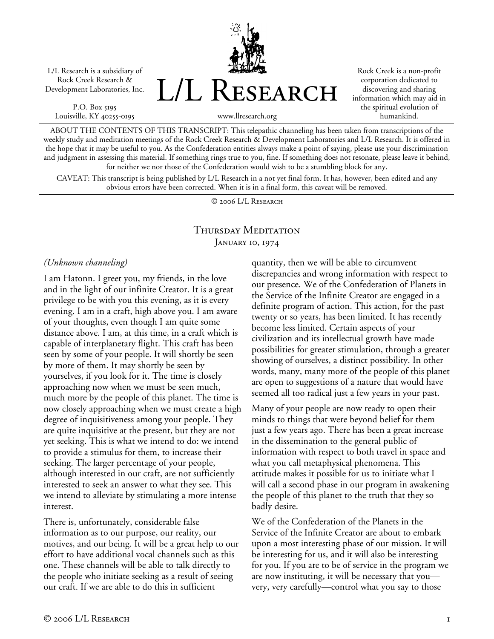L/L Research is a subsidiary of Rock Creek Research & Development Laboratories, Inc.

P.O. Box 5195 Louisville, KY 40255-0195 L/L Research

www.llresearch.org

Rock Creek is a non-profit corporation dedicated to discovering and sharing information which may aid in the spiritual evolution of humankind.

ABOUT THE CONTENTS OF THIS TRANSCRIPT: This telepathic channeling has been taken from transcriptions of the weekly study and meditation meetings of the Rock Creek Research & Development Laboratories and L/L Research. It is offered in the hope that it may be useful to you. As the Confederation entities always make a point of saying, please use your discrimination and judgment in assessing this material. If something rings true to you, fine. If something does not resonate, please leave it behind, for neither we nor those of the Confederation would wish to be a stumbling block for any.

CAVEAT: This transcript is being published by L/L Research in a not yet final form. It has, however, been edited and any obvious errors have been corrected. When it is in a final form, this caveat will be removed.

© 2006 L/L Research

## Thursday Meditation JANUARY 10, 1974

## *(Unknown channeling)*

I am Hatonn. I greet you, my friends, in the love and in the light of our infinite Creator. It is a great privilege to be with you this evening, as it is every evening. I am in a craft, high above you. I am aware of your thoughts, even though I am quite some distance above. I am, at this time, in a craft which is capable of interplanetary flight. This craft has been seen by some of your people. It will shortly be seen by more of them. It may shortly be seen by yourselves, if you look for it. The time is closely approaching now when we must be seen much, much more by the people of this planet. The time is now closely approaching when we must create a high degree of inquisitiveness among your people. They are quite inquisitive at the present, but they are not yet seeking. This is what we intend to do: we intend to provide a stimulus for them, to increase their seeking. The larger percentage of your people, although interested in our craft, are not sufficiently interested to seek an answer to what they see. This we intend to alleviate by stimulating a more intense interest.

There is, unfortunately, considerable false information as to our purpose, our reality, our motives, and our being. It will be a great help to our effort to have additional vocal channels such as this one. These channels will be able to talk directly to the people who initiate seeking as a result of seeing our craft. If we are able to do this in sufficient

quantity, then we will be able to circumvent discrepancies and wrong information with respect to our presence. We of the Confederation of Planets in the Service of the Infinite Creator are engaged in a definite program of action. This action, for the past twenty or so years, has been limited. It has recently become less limited. Certain aspects of your civilization and its intellectual growth have made possibilities for greater stimulation, through a greater showing of ourselves, a distinct possibility. In other words, many, many more of the people of this planet are open to suggestions of a nature that would have seemed all too radical just a few years in your past.

Many of your people are now ready to open their minds to things that were beyond belief for them just a few years ago. There has been a great increase in the dissemination to the general public of information with respect to both travel in space and what you call metaphysical phenomena. This attitude makes it possible for us to initiate what I will call a second phase in our program in awakening the people of this planet to the truth that they so badly desire.

We of the Confederation of the Planets in the Service of the Infinite Creator are about to embark upon a most interesting phase of our mission. It will be interesting for us, and it will also be interesting for you. If you are to be of service in the program we are now instituting, it will be necessary that you very, very carefully—control what you say to those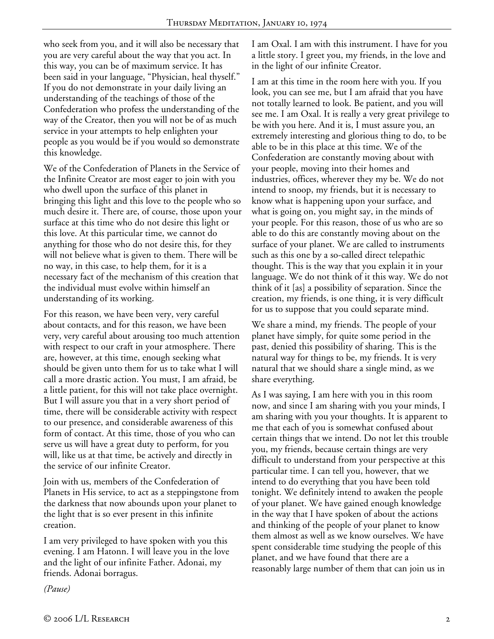who seek from you, and it will also be necessary that you are very careful about the way that you act. In this way, you can be of maximum service. It has been said in your language, "Physician, heal thyself." If you do not demonstrate in your daily living an understanding of the teachings of those of the Confederation who profess the understanding of the way of the Creator, then you will not be of as much service in your attempts to help enlighten your people as you would be if you would so demonstrate this knowledge.

We of the Confederation of Planets in the Service of the Infinite Creator are most eager to join with you who dwell upon the surface of this planet in bringing this light and this love to the people who so much desire it. There are, of course, those upon your surface at this time who do not desire this light or this love. At this particular time, we cannot do anything for those who do not desire this, for they will not believe what is given to them. There will be no way, in this case, to help them, for it is a necessary fact of the mechanism of this creation that the individual must evolve within himself an understanding of its working.

For this reason, we have been very, very careful about contacts, and for this reason, we have been very, very careful about arousing too much attention with respect to our craft in your atmosphere. There are, however, at this time, enough seeking what should be given unto them for us to take what I will call a more drastic action. You must, I am afraid, be a little patient, for this will not take place overnight. But I will assure you that in a very short period of time, there will be considerable activity with respect to our presence, and considerable awareness of this form of contact. At this time, those of you who can serve us will have a great duty to perform, for you will, like us at that time, be actively and directly in the service of our infinite Creator.

Join with us, members of the Confederation of Planets in His service, to act as a steppingstone from the darkness that now abounds upon your planet to the light that is so ever present in this infinite creation.

I am very privileged to have spoken with you this evening. I am Hatonn. I will leave you in the love and the light of our infinite Father. Adonai, my friends. Adonai borragus.

I am Oxal. I am with this instrument. I have for you a little story. I greet you, my friends, in the love and in the light of our infinite Creator.

I am at this time in the room here with you. If you look, you can see me, but I am afraid that you have not totally learned to look. Be patient, and you will see me. I am Oxal. It is really a very great privilege to be with you here. And it is, I must assure you, an extremely interesting and glorious thing to do, to be able to be in this place at this time. We of the Confederation are constantly moving about with your people, moving into their homes and industries, offices, wherever they my be. We do not intend to snoop, my friends, but it is necessary to know what is happening upon your surface, and what is going on, you might say, in the minds of your people. For this reason, those of us who are so able to do this are constantly moving about on the surface of your planet. We are called to instruments such as this one by a so-called direct telepathic thought. This is the way that you explain it in your language. We do not think of it this way. We do not think of it [as] a possibility of separation. Since the creation, my friends, is one thing, it is very difficult for us to suppose that you could separate mind.

We share a mind, my friends. The people of your planet have simply, for quite some period in the past, denied this possibility of sharing. This is the natural way for things to be, my friends. It is very natural that we should share a single mind, as we share everything.

As I was saying, I am here with you in this room now, and since I am sharing with you your minds, I am sharing with you your thoughts. It is apparent to me that each of you is somewhat confused about certain things that we intend. Do not let this trouble you, my friends, because certain things are very difficult to understand from your perspective at this particular time. I can tell you, however, that we intend to do everything that you have been told tonight. We definitely intend to awaken the people of your planet. We have gained enough knowledge in the way that I have spoken of about the actions and thinking of the people of your planet to know them almost as well as we know ourselves. We have spent considerable time studying the people of this planet, and we have found that there are a reasonably large number of them that can join us in

*(Pause)*